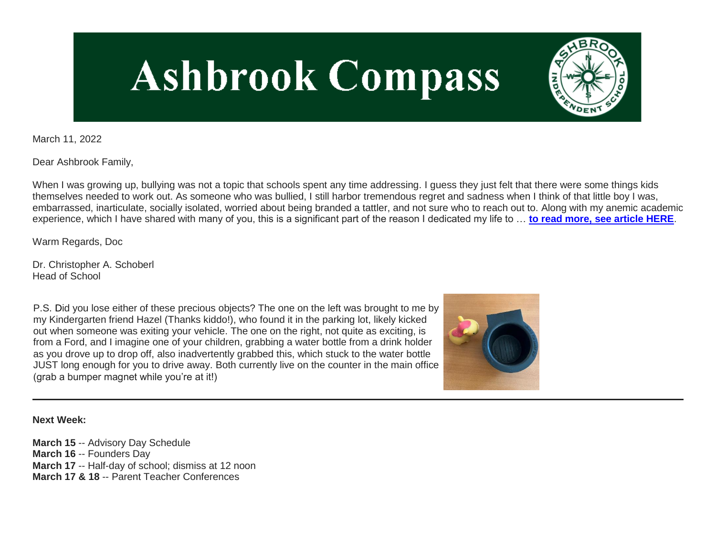# **Ashbrook Compass**

March 11, 2022

Dear Ashbrook Family,

When I was growing up, bullying was not a topic that schools spent any time addressing. I guess they just felt that there were some things kids themselves needed to work out. As someone who was bullied, I still harbor tremendous regret and sadness when I think of that little boy I was, embarrassed, inarticulate, socially isolated, worried about being branded a tattler, and not sure who to reach out to. Along with my anemic academic experience, which I have shared with many of you, this is a significant part of the reason I dedicated my life to … **[to read more, see article HERE](http://link.mystudentsprogress.com/ls/click?upn=VpBe6Z9t6RkEC4qAoQCerkRqVNRJCi4SE2bZPjoSvly6Wt4sj4Y-2FOJmlp29qSx9doRy8M1CTj5Z5pkWeWMH5l3VpkjwyvcffS-2BJPWkofbwH4N06CztLDBRXM2hZVzftUVeCkE-2F-2FVvMx8hXwZDkrSnw-3D-3DHzS3_1PndbFfBoQGSZbxwXHHEexw3B2F0fG-2BUmuXm6a-2BX-2BzvEP6uN6HuivDfq6Rfq-2FMUBN0VD3TCW6EtWrSJWwB4aHW2cqDwqVqx-2BbFAm0AtEz3OKI-2F7omntKUJCaUx2nSTtUeaO-2Fcr6nHLc6Vb8AKBLKZNSjxpuIXIKfs-2FOnsSHta7S73l93hfuV87NW2myXAjBVR-2FmfrTBhXIq3rYrJRYttLNiS5MGpxMwaIx3nC3LYuobvwsH1VMiLGTaWFvblh5cG3x9UbeHS9uPE58zVMIzzB8zYVFKagW26o2e1f6i9K-2Ff8H32X9p1WUWC9RG9uhY2XuyW5CB8kXuzvGbG6eZJeSjcWCqD3CcYel2axn0qVgklY-2BwCE9vPG9ZKmOXuk4Qml8-2F-2FcPO5zTzxtbKKxa4hnUlVSsK9YzozTdgfr2B3cTYYJu6WbUEyp4-2FpXvGoOKr-2F-2F)**.

Warm Regards, Doc

Dr. Christopher A. Schoberl Head of School

P.S. Did you lose either of these precious objects? The one on the left was brought to me by my Kindergarten friend Hazel (Thanks kiddo!), who found it in the parking lot, likely kicked out when someone was exiting your vehicle. The one on the right, not quite as exciting, is from a Ford, and I imagine one of your children, grabbing a water bottle from a drink holder as you drove up to drop off, also inadvertently grabbed this, which stuck to the water bottle JUST long enough for you to drive away. Both currently live on the counter in the main office (grab a bumper magnet while you're at it!)



**Next Week:**

**March 15** -- Advisory Day Schedule **March 16** -- Founders Day **March 17** -- Half-day of school; dismiss at 12 noon **March 17 & 18** -- Parent Teacher Conferences

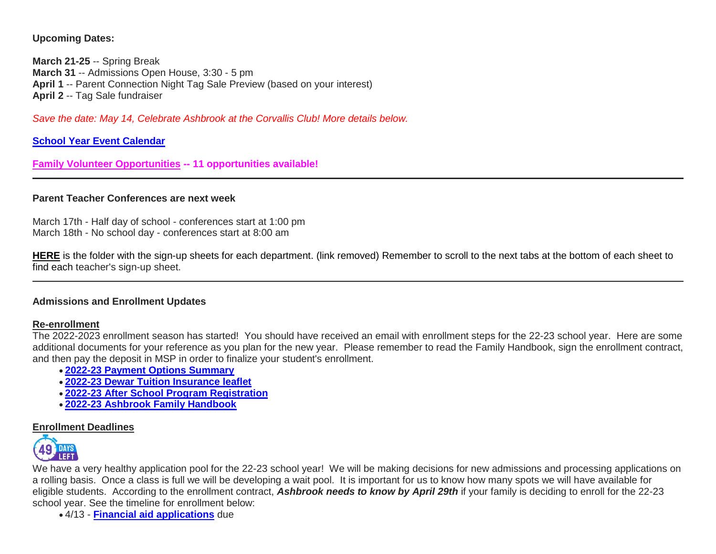**Upcoming Dates:**

**March 21-25** -- Spring Break **March 31** -- Admissions Open House, 3:30 - 5 pm **April 1** -- Parent Connection Night Tag Sale Preview (based on your interest) **April 2** -- Tag Sale fundraiser

*Save the date: May 14, Celebrate Ashbrook at the Corvallis Club! More details below.*

**[School Year Event Calendar](http://link.mystudentsprogress.com/ls/click?upn=n7jYKe39nC4PrVAw2BzaOolgU5XUleaJ61qfvNJxTW3uoi8RFzNYUfSc1qXdqajA34djZWrxIBJBxzp2whbybvqIYp3dDOkCDgKesziBdCm1u7J5UB6bwQicng-2BhFj8jm5vDG0tBEB0sO-2FO3RXilW8Csk5oOSfGUUXvh5WSdqhvDojIY5znyF-2BOYIJP1WK6BFZ21_1PndbFfBoQGSZbxwXHHEexw3B2F0fG-2BUmuXm6a-2BX-2BzvEP6uN6HuivDfq6Rfq-2FMUBN0VD3TCW6EtWrSJWwB4aHd9ZortprbveAR-2BdJQXkHm9DG7iEDPWaXeHvzvEdRcnPBCCfx8iLmTOMYokdBdcd7ZziXLJyVP8Q8OG-2B4Oc-2BIPzA3vJW6zYTTbnGbCRRSRkzyFV1HbnUneMgDzBtkN4dFkcopJKbOcG1vyYv29a8yp3SKOXjKN4XEvUO5hv4oJb8-2BQ-2FM7iKNlDHavTTh-2BbkeC6bcuhhe3-2BjgvwH5sHQb-2BdVsPjIjagwB1GbsanlHmiEhe5em6q4W3pw1WdueizoLq0-2Bd1yCg0aW7fJGKJo4Uw9kiQp-2FGwnCFLNpVMoc0KsbTz0DSukqg3PI4DYuMMJg4Xewxl-2B2M9PYBySxpD3m6YRWZ7WnQWPQd03tWSacznyV1)**

**[Family Volunteer Opportunities](http://link.mystudentsprogress.com/ls/click?upn=VpBe6Z9t6RkEC4qAoQCerkRqVNRJCi4SE2bZPjoSvlxSlLFpfnUYhuutAutUGnBh84nj-2BJvhJlx1K1dJMDDqBY1qLZ1O0nCcHebienBZj-2BKxsXBin-2FugM50Q-2FqN8cLG3Urd1ZQzGcMWtkFleXRzacA-3D-3DuRvz_1PndbFfBoQGSZbxwXHHEexw3B2F0fG-2BUmuXm6a-2BX-2BzvEP6uN6HuivDfq6Rfq-2FMUBN0VD3TCW6EtWrSJWwB4aHUzhbrqPQPT-2BUreWBbGIHthCypUXeMvCg2HXUFRQbg1jBRvnnw8huZ117oOTe8IR5gfVH8nRISLemFeGxWFKXvZw0-2BhgJwhDaoPuP0Qtn2DwFVoVxx5Ht-2BtzHIQRJ135V7Mp-2B6wPUflh11NsTpFuVxSbC6MNMWesFiEThWF5zQQSVf7uUHEzkhVnaa7S9qyKXQeZ2zRmZ-2B4zQFb2vKM6yROvwhzUjce30uNGfKRaRS9dsXpq-2B8pX7fX0jStqU-2BP7jH14eOUMLDAvMADH9igpQ0kh7jIYUw9V4zR-2FM1lzViZJ8IlQ-2FbIdHWlyFogK4byfJdIanBaQn3YxeDQK4PnXLY5MyFCkHIqn1Sj71F1e8lCS) -- 11 opportunities available!**

## **Parent Teacher Conferences are next week**

March 17th - Half day of school - conferences start at 1:00 pm March 18th - No school day - conferences start at 8:00 am

**HERE** is the folder with the sign-up sheets for each department. (link removed) Remember to scroll to the next tabs at the bottom of each sheet to find each teacher's sign-up sheet.

## **Admissions and Enrollment Updates**

## **Re-enrollment**

The 2022-2023 enrollment season has started! You should have received an email with enrollment steps for the 22-23 school year. Here are some additional documents for your reference as you plan for the new year. Please remember to read the Family Handbook, sign the enrollment contract, and then pay the deposit in MSP in order to finalize your student's enrollment.

- **[2022-23 Payment Options Summary](http://link.mystudentsprogress.com/ls/click?upn=n7jYKe39nC4PrVAw2BzaOolgU5XUleaJ61qfvNJxTW3uoi8RFzNYUfSc1qXdqajA34djZWrxIBJBxzp2whbybvqIYp3dDOkCDgKesziBdClkeFpPmgMGrgcxNe5TC96odu91tl93IdUb7rzqL2LYFtC2am-2BBIM47dCls51qjeV0-3DQAcd_1PndbFfBoQGSZbxwXHHEexw3B2F0fG-2BUmuXm6a-2BX-2BzvEP6uN6HuivDfq6Rfq-2FMUBN0VD3TCW6EtWrSJWwB4aHUSuiXYbMZ0AbBt8oIhu5TzvqBC0Z84XcnNvwonjSPlqF7qboWo2y6By90rbVZI3d-2BNSDly-2FBqU9ZIo-2Fa0ovFgvIecwAOvx41zEb-2BQaK6L-2ByGfaOXdXG8sSJNng7d9xnHuRDB9-2Fsr4Gov28oXvontDG9UtU8FqpDxKoLT-2FQJSsfXAKNFVpBf4JnL-2FU2m9pBzqZnAuO4tupfo5iWvLXp3N-2B0wgxg0yhsdMqHsuX5b0aEcOTnzrQIOxuj-2BHI-2BJoovzacrKGZDyAtyjehW1OlNCnsrZ32xIjsCzwvGTPZuA-2FBf7kgDCEt31-2FqTGmBQIFnt1wE3-2ByWOh85fhqNEPlqZEIVkOYj5MEyBOyeOrKp5TLR-2FS)**
- **[2022-23 Dewar Tuition Insurance leaflet](http://link.mystudentsprogress.com/ls/click?upn=n7jYKe39nC4PrVAw2BzaOolgU5XUleaJ61qfvNJxTW3uoi8RFzNYUfSc1qXdqajA34djZWrxIBJBxzp2whbybvqIYp3dDOkCDgKesziBdCmKv7ixhdviv-2FmwC44NqeRkEpR0EqlRFDbLPP4oUBY3JgS-2BxTIUAg9pOXjNuHrG2gHW4aOlWy1OxP4JzdIN-2Fgxfug8l_1PndbFfBoQGSZbxwXHHEexw3B2F0fG-2BUmuXm6a-2BX-2BzvEP6uN6HuivDfq6Rfq-2FMUBN0VD3TCW6EtWrSJWwB4aHWSF0sYGD7phm53l9xiPkhIIr66w51-2FSyfaOsDy5n-2FA7gELswMvAddFfkkwUu64kwa7N16zgSYL5ygNKbpk3CuoHrfuRO-2BmZ2Oo5UsUbFOrDa8hI-2Fe12x-2BdIANh-2FBL-2BKIgiBZWY-2BW97QMwO5T6gIkrh2idnQpLD1oN7QxlgQod80BU-2B3s05ZeJqllWV7WMlPuxiW-2FgxJ8FhhldGUsh0Tg12BQcIlfpDzMgP0FtPghJelDLGwcUbxoYki2GSRIyujj680rOx56l03FlSpT0VExXlGdqJ5ULcP6w-2Fssjy5Sw3rT0kOiOI6-2FAasdG4RYc-2FCzprTmwOvB3GNYIwgqc0-2BtY5bvCuiwhagEvbhkIK5-2FUEJ)**
- **[2022-23 After School Program Registration](http://link.mystudentsprogress.com/ls/click?upn=n7jYKe39nC4PrVAw2BzaOolgU5XUleaJ61qfvNJxTW3uoi8RFzNYUfSc1qXdqajA34djZWrxIBJBxzp2whbybvqIYp3dDOkCDgKesziBdCk2zoL69EF1elapRVEFs9mzF3f9wmKGKZgVh2d6-2F4A-2BgVLXq8Q8Acmh7jJG-2BzjCzXs-3DP6kE_1PndbFfBoQGSZbxwXHHEexw3B2F0fG-2BUmuXm6a-2BX-2BzvEP6uN6HuivDfq6Rfq-2FMUBN0VD3TCW6EtWrSJWwB4aHcaU5G9iicamtSTH-2F0G1S5fC1LaZ4cx-2FUE5qT1eim-2FUckp-2FLNNgg-2B33qVWD2aQRNz6-2FVNfyiD7qjxpLL04BpCg890qI0AvUaN7vnKZrFBImz-2F3miAR9xXv7mtThpV37yPQeEn55fL6hVhcCQUZI6iJZcqvizEHnXQxIf1tgKc2It3jLaSq3x9LpQbrbyeiHsJ5yndBwKsVyygkjDBWendMviKpN0AzEjR2TZ7CG3G67RTQJZec3kqG2gJAomePTyGq1DnhzQY8qja2eDcPFnx9JQoSBovoGpq-2FOGw94mg47Gh-2Bt1gx9JetMEVvnFXsAmGe-2BW-2FSOkdg9uVfBugCFAGPb3xAuPCj176EraHiUBVq8D)**
- **[2022-23 Ashbrook Family Handbook](http://link.mystudentsprogress.com/ls/click?upn=n7jYKe39nC4PrVAw2BzaOolgU5XUleaJ61qfvNJxTW3uoi8RFzNYUfSc1qXdqajA34djZWrxIBJBxzp2whbybvqIYp3dDOkCDgKesziBdCm10y3DaewIztvYnTmbtKZrSM7zgMXMbd3vUX54N4ULGmQauK03d1W1q-2BxdA-2FDSbp8-3DKADS_1PndbFfBoQGSZbxwXHHEexw3B2F0fG-2BUmuXm6a-2BX-2BzvEP6uN6HuivDfq6Rfq-2FMUBN0VD3TCW6EtWrSJWwB4aHbIJ2Gre6S8cvhEUDFgwCaK4usxBfxcyw1gZ1DGI6iTWuyiyuXCL53hsqUm0PvrT8ltRw65d96ArHCVkxLz8TneDH6q8ErYeNFAq-2ByDjJ1uOUq7dsVpLHAjdN01zMVIa6LkMrxDGGYX6-2Fzb0Ulz1waclZX9pJ-2BDb5nb2il4hmm8SonjmssmB8vu1ZtNN3QZ6QjgdZpv-2BMeOGsHwiCl3JQimEEPZ9jLc2mprjb4bEv6KMmQ4CWgfJda4H4-2Fdrf2JtwvyV36dHGg4wPzNSU6N2I-2BPEEpKeYnSDutZtrdR7LFs8PzpJvbUolKapEo3DBRfVffb-2FjFCYRvL1HiY5CxK89hQx5pTruoVjOWZ3IdRbqZx4)**

## **Enrollment Deadlines**



We have a very healthy application pool for the 22-23 school year! We will be making decisions for new admissions and processing applications on a rolling basis. Once a class is full we will be developing a wait pool. It is important for us to know how many spots we will have available for eligible students. According to the enrollment contract, *Ashbrook needs to know by April 29th* if your family is deciding to enroll for the 22-23 school year. See the timeline for enrollment below:

4/13 - **[Financial aid applications](http://link.mystudentsprogress.com/ls/click?upn=9NFJldv80hP-2FMIbgvz91YTw-2FPeGAX3zaZ-2B6BOjUQoz1zpnNqwRVnkmgZdHIWb6xciuP9_1PndbFfBoQGSZbxwXHHEexw3B2F0fG-2BUmuXm6a-2BX-2BzvEP6uN6HuivDfq6Rfq-2FMUBN0VD3TCW6EtWrSJWwB4aHb2EQdq67YlRR9D-2FgXWsDsuRnqWixlz0X7EbenBDq0QRrxpnqfZZxXgOveCgzv3e6P0VzMM-2ByHeT0nTQKAPEjJ6YivvcWWved8wKOYQYj2nMGh5AH618N-2FA35z1o1n9qHnri9UCls3jfhPocfCzvR8-2B6p3aMHedDp55RFNOoFSpMmU-2BQoXtWRsU2bCI-2B6SDirJmB03rmuJ0ZFe0LQ1N4V7z-2Frxl0VPjOyy02KaHHDX0F8i-2FDJP3m00-2F5LIo1GnT3rzE9osufuGmmpGwkZFqqfZTRxWqMKNcniBPybmNJEn1Y3tA2SdGIz62mqK6r5Dj-2Fd4gap9UTv62HPmPrU-2FNuUtq8XWumC4igfpopaZcur48F)** due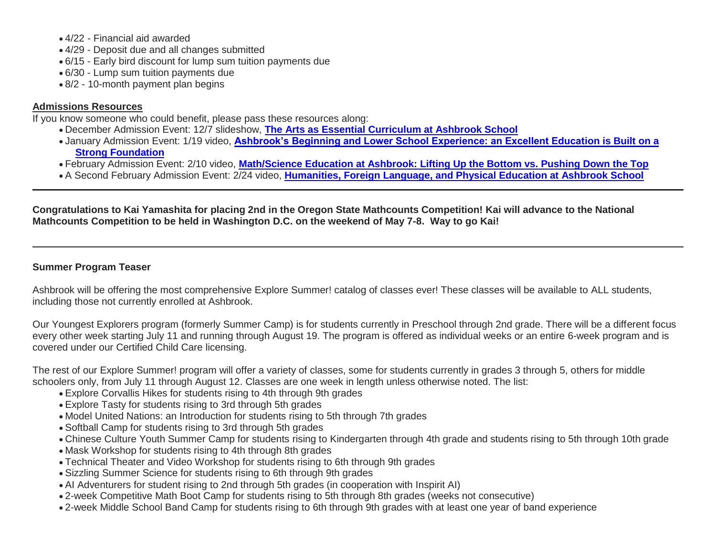- 4/22 Financial aid awarded
- 4/29 Deposit due and all changes submitted
- 6/15 Early bird discount for lump sum tuition payments due
- 6/30 Lump sum tuition payments due
- 8/2 10-month payment plan begins

# **Admissions Resources**

If you know someone who could benefit, please pass these resources along:

- December Admission Event: 12/7 slideshow, **[The Arts as Essential Curriculum at Ashbrook School](http://link.mystudentsprogress.com/ls/click?upn=VpBe6Z9t6RkEC4qAoQCertKzhjEDinKc0CfI3IvbCQdAUGivbUo1ZPD28lUVkIpyGu-2F3iyG4XxBZqKyx0zVEQbqdNmInL0lGt-2FSwwTpFjpXb1cd7PE4kL-2F96nplm-2FTn3GzVE_1PndbFfBoQGSZbxwXHHEexw3B2F0fG-2BUmuXm6a-2BX-2BzvEP6uN6HuivDfq6Rfq-2FMUBN0VD3TCW6EtWrSJWwB4aHfMyblr7LROHuzB1UkxP3Nat-2FbaAy4cRZSf6R8KS2I0kmoGduehbnZlymylGgLxz9YTaFExii8o-2BBIYALbfB20RavQ1LGwaWQWZB4hBF-2FQCN9Cye4LHvHPQEHf4B1mVdcr1gIleqC2qGm-2BWGWkul0xDPQ3EvV5gtDOkyDsND1hdFw2FaZYF0S-2BKBo6qVFjbTdWrkIkEWO2A4sHBxt0laIEjCOFdoSlHDAnoSLTp4VFSlQmLDrJzuylp4yj1mGi2scwSGUSRyN88sFmp1RPyv-2FDhge7oy6H27Baln25xnWCSYu4hJRbTelSDBQg6sYAsUN0h5cCVieB3vbnuqEBREt4nOxYFtn6VHgp76RvVtJrzV)**
- January Admission Event: 1/19 video, **[Ashbrook's Beginning and Lower School Experience: an Excellent Education is Built on a](http://link.mystudentsprogress.com/ls/click?upn=VpBe6Z9t6RkEC4qAoQCertKzhjEDinKc0CfI3IvbCQcj-2FMXFM42TVH6rCD0ujHzqWqw-2BuBJp3PwgDrJbc3MENop-2F4KTzDhISrUM0n5UnrJQ-2Fe1MM7jG-2BVXvLYzStIms8f86m_1PndbFfBoQGSZbxwXHHEexw3B2F0fG-2BUmuXm6a-2BX-2BzvEP6uN6HuivDfq6Rfq-2FMUBN0VD3TCW6EtWrSJWwB4aHZWzoFJIgpA-2BKflvRECvFA0C8sN5TtJGxm6MDeWxfbeZuBSUC-2BMf9jMZMoAVyH-2FrZmf-2Bhr8ldpW1Q9HVD-2BkBL9MjHsCL4aVk1lXpSmLu4bCTzLY9EPWrGwgV8G2LEoRys-2F3fLY6GHImnGGvlBdV6zfPin2i0bAAKHtKIgeyv9UOUFPlJe75MFeu9trV2GJJvyQKniymZ7jVXwrhdqLwnmbt4jyWWmKVZj82nOr0vp3Jj3DBVcciD3rNUHaIZwLm7cL4ds7STMYNzCLtkcNJ4o8TwjOiqFj0XBY1Jf16IZQq9ayTquGYBjVT1vRalUmo8lbudww-2BwG7aLlCy3mkNYF111KqXr42C2JwJt0Q-2Bv7oyS)  [Strong Foundation](http://link.mystudentsprogress.com/ls/click?upn=VpBe6Z9t6RkEC4qAoQCertKzhjEDinKc0CfI3IvbCQcj-2FMXFM42TVH6rCD0ujHzqWqw-2BuBJp3PwgDrJbc3MENop-2F4KTzDhISrUM0n5UnrJQ-2Fe1MM7jG-2BVXvLYzStIms8f86m_1PndbFfBoQGSZbxwXHHEexw3B2F0fG-2BUmuXm6a-2BX-2BzvEP6uN6HuivDfq6Rfq-2FMUBN0VD3TCW6EtWrSJWwB4aHZWzoFJIgpA-2BKflvRECvFA0C8sN5TtJGxm6MDeWxfbeZuBSUC-2BMf9jMZMoAVyH-2FrZmf-2Bhr8ldpW1Q9HVD-2BkBL9MjHsCL4aVk1lXpSmLu4bCTzLY9EPWrGwgV8G2LEoRys-2F3fLY6GHImnGGvlBdV6zfPin2i0bAAKHtKIgeyv9UOUFPlJe75MFeu9trV2GJJvyQKniymZ7jVXwrhdqLwnmbt4jyWWmKVZj82nOr0vp3Jj3DBVcciD3rNUHaIZwLm7cL4ds7STMYNzCLtkcNJ4o8TwjOiqFj0XBY1Jf16IZQq9ayTquGYBjVT1vRalUmo8lbudww-2BwG7aLlCy3mkNYF111KqXr42C2JwJt0Q-2Bv7oyS)**
- February Admission Event: 2/10 video, **[Math/Science Education at Ashbrook: Lifting Up the Bottom vs. Pushing Down the Top](http://link.mystudentsprogress.com/ls/click?upn=VpBe6Z9t6RkEC4qAoQCertKzhjEDinKc0CfI3IvbCQcWMZhEmzIOaoE1rrVAI5L8ZO7XS8Tv5hSiIMalu6EJjCDUJP7moAVnS2AEJdBcw2I-3DPvFF_1PndbFfBoQGSZbxwXHHEexw3B2F0fG-2BUmuXm6a-2BX-2BzvEP6uN6HuivDfq6Rfq-2FMUBN0VD3TCW6EtWrSJWwB4aHYoIelCKSqZGsn2sR6y2Pa0-2Bsb0PtTOVB4sELddadRo2fEhDHkJYRqzcbj7Ff5wWvfM4pjjFcVCWsjFB5qVLFbSig-2F-2FC9fz2kfuEmgtmLFbICA4TVif-2FYhgtIMlG80Z88oqZQ8hvrUETq1qYKYZWntULu0UysmNoWtk-2FUO-2BK1V-2Fmuul5bCGyUFg24DNH42du4RUGFZAIMOALlanK-2FGV1LLN4LXJ5rYKd8cVfnb3s3w-2F-2B43W-2FflNmXGsn7RHO6j54u-2BEgX0JiwQi6RuIKlZcol3nGuI7bVwunNJy9ms7oW0XSUCFOIUy2OyVrgTAFKpDlgKaoR1zFoK6LYqgml-2BUyDlibm5McKB9rK2RHLu7rGQKL)**
- A Second February Admission Event: 2/24 video, **[Humanities, Foreign Language, and Physical Education at Ashbrook School](http://link.mystudentsprogress.com/ls/click?upn=VpBe6Z9t6RkEC4qAoQCertKzhjEDinKc0CfI3IvbCQdVZVTEFOlGsKYGq77MfEdURJQ6o-2BD42HfofdXXBWp4osH367C5cJyuKmzLhDFL5tL7ffHADe0ya5yyn-2BNlingbdHzo_1PndbFfBoQGSZbxwXHHEexw3B2F0fG-2BUmuXm6a-2BX-2BzvEP6uN6HuivDfq6Rfq-2FMUBN0VD3TCW6EtWrSJWwB4aHVMOwp3QWeSk79k6MfkJUcxE2kMTsH08RUZzYUqJsFMSaftfnPsqW1DHMed6-2Fri-2BGO-2FRm5i2llzaJtIQZsPHejFxLrYzqDAX81M4TM43jT3dBLz9GBp-2Bhq8-2BI3YnbVyZotHFYb5TrsSiWSp3aULkL4w7ZjyXuUWaxwoqpBu2zLcbfUOYw6emb9nK4kLLMGjk6rNyJKK49ZG0isKuZm-2Bq5d0Fsbdg7tOAwtT4FhzD85usCpx5YxdyQUvMiJIBCfKZEfzfolocWdUBGDiwne-2FgtsLCuTcN6bdROVzPUhDqySjL8HL8tagWX4UhHBMtZvw1ZZXPRMthFDEiFp9t-2BxGRdoY6m5m4qZyKqZC1vlXF-2FaeG)**

**Congratulations to Kai Yamashita for placing 2nd in the Oregon State Mathcounts Competition! Kai will advance to the National Mathcounts Competition to be held in Washington D.C. on the weekend of May 7-8. Way to go Kai!**

# **Summer Program Teaser**

Ashbrook will be offering the most comprehensive Explore Summer! catalog of classes ever! These classes will be available to ALL students, including those not currently enrolled at Ashbrook.

Our Youngest Explorers program (formerly Summer Camp) is for students currently in Preschool through 2nd grade. There will be a different focus every other week starting July 11 and running through August 19. The program is offered as individual weeks or an entire 6-week program and is covered under our Certified Child Care licensing.

The rest of our Explore Summer! program will offer a variety of classes, some for students currently in grades 3 through 5, others for middle schoolers only, from July 11 through August 12. Classes are one week in length unless otherwise noted. The list:

- Explore Corvallis Hikes for students rising to 4th through 9th grades
- Explore Tasty for students rising to 3rd through 5th grades
- Model United Nations: an Introduction for students rising to 5th through 7th grades
- Softball Camp for students rising to 3rd through 5th grades
- Chinese Culture Youth Summer Camp for students rising to Kindergarten through 4th grade and students rising to 5th through 10th grade
- Mask Workshop for students rising to 4th through 8th grades
- Technical Theater and Video Workshop for students rising to 6th through 9th grades
- Sizzling Summer Science for students rising to 6th through 9th grades
- AI Adventurers for student rising to 2nd through 5th grades (in cooperation with Inspirit AI)
- 2-week Competitive Math Boot Camp for students rising to 5th through 8th grades (weeks not consecutive)
- 2-week Middle School Band Camp for students rising to 6th through 9th grades with at least one year of band experience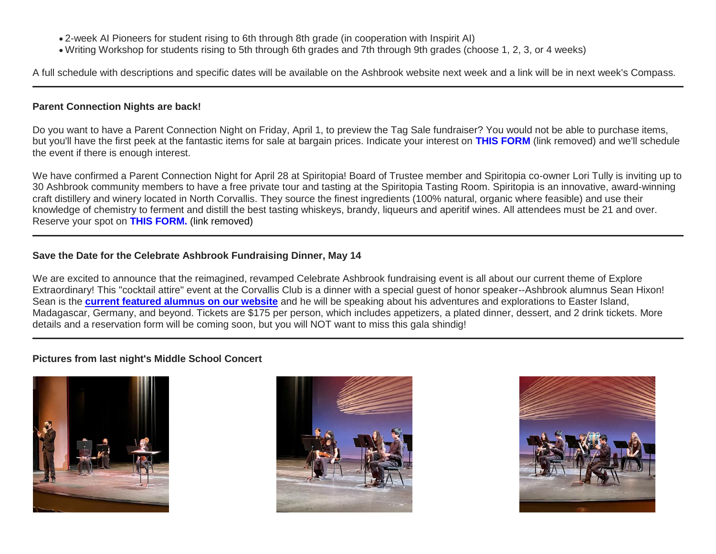- 2-week AI Pioneers for student rising to 6th through 8th grade (in cooperation with Inspirit AI)
- Writing Workshop for students rising to 5th through 6th grades and 7th through 9th grades (choose 1, 2, 3, or 4 weeks)

A full schedule with descriptions and specific dates will be available on the Ashbrook website next week and a link will be in next week's Compass.

#### **Parent Connection Nights are back!**

Do you want to have a Parent Connection Night on Friday, April 1, to preview the Tag Sale fundraiser? You would not be able to purchase items, but you'll have the first peek at the fantastic items for sale at bargain prices. Indicate your interest on **THIS FORM** (link removed) and we'll schedule the event if there is enough interest.

We have confirmed a Parent Connection Night for April 28 at Spiritopia! Board of Trustee member and Spiritopia co-owner Lori Tully is inviting up to 30 Ashbrook community members to have a free private tour and tasting at the Spiritopia Tasting Room. Spiritopia is an innovative, award-winning craft distillery and winery located in North Corvallis. They source the finest ingredients (100% natural, organic where feasible) and use their knowledge of chemistry to ferment and distill the best tasting whiskeys, brandy, liqueurs and aperitif wines. All attendees must be 21 and over. Reserve your spot on **THIS FORM.** (link removed)

# **Save the Date for the Celebrate Ashbrook Fundraising Dinner, May 14**

We are excited to announce that the reimagined, revamped Celebrate Ashbrook fundraising event is all about our current theme of Explore Extraordinary! This "cocktail attire" event at the Corvallis Club is a dinner with a special guest of honor speaker--Ashbrook alumnus Sean Hixon! Sean is the **[current featured alumnus on our website](http://link.mystudentsprogress.com/ls/click?upn=5XDbAd9r0ovG7GZusFBG8PaUF78UqItDelTGdwk7Y5YVHPL1lqCP2oHiaZtUu1dl8h9o_1PndbFfBoQGSZbxwXHHEexw3B2F0fG-2BUmuXm6a-2BX-2BzvEP6uN6HuivDfq6Rfq-2FMUBN0VD3TCW6EtWrSJWwB4aHdo7ZmhsL-2FnMlo150JXgJI0Sy3w9PIBNk4Eqvi8v02UVL5LMLa7hv-2FY6HSp2-2Fa0QT9E6LCOso5O2yXV9dzqIhVL10ojagHaqvmKtNciE3Wm1dk7uhi6-2Fm0sxilyq7PDc3yrk87yNdtIstBOx0A6TJSzQi9AXORDbP9LI92rGESWtLavCtpErOCqGz58mcMDzCEGD3wLkG3FokDHRYFKm-2BejH3-2BGrWGW2tdpVrrxxXceZStWfukRzSZmqoVP2r-2BCUv3lrlHt6P4emTJjpxHBnXZFU6fqZxDWkafbWz-2FsXyn-2FmnHkciZzqTi-2BG8nybYfGGRZTLm056xY1zU-2FL8gDwp44tbD9s9iQY70wjEB-2BgRnmmw)** and he will be speaking about his adventures and explorations to Easter Island, Madagascar, Germany, and beyond. Tickets are \$175 per person, which includes appetizers, a plated dinner, dessert, and 2 drink tickets. More details and a reservation form will be coming soon, but you will NOT want to miss this gala shindig!

## **Pictures from last night's Middle School Concert**





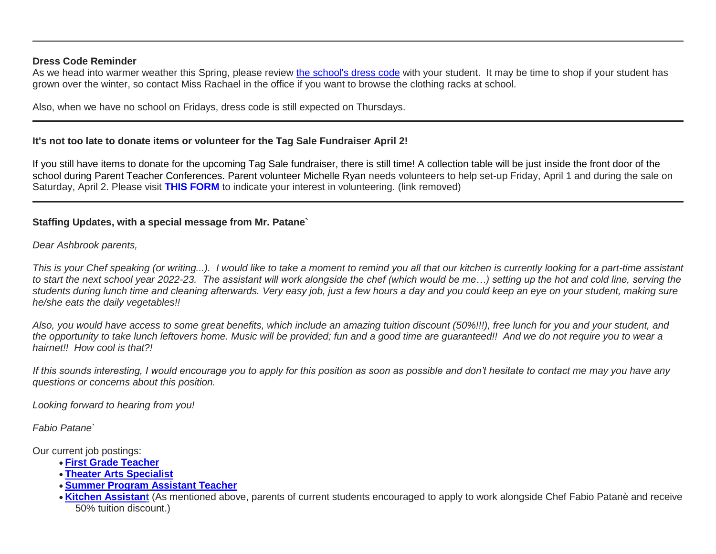#### **Dress Code Reminder**

As we head into warmer weather this Spring, please review [the school's dress code](http://link.mystudentsprogress.com/ls/click?upn=n7jYKe39nC4PrVAw2BzaOolgU5XUleaJ61qfvNJxTW3uoi8RFzNYUfSc1qXdqajA34djZWrxIBJBxzp2whbybvqIYp3dDOkCDgKesziBdCksmcRiwoZDO8Y-2B5mqJ1mwoj-2FyrjlP7VBTNcQLiy4jyaA-3D-3D_F_g_1PndbFfBoQGSZbxwXHHEexw3B2F0fG-2BUmuXm6a-2BX-2BzvEP6uN6HuivDfq6Rfq-2FMUBN0VD3TCW6EtWrSJWwB4aHRMpf0iyIEjgJhY6zuyvDhcTX8DR8-2BrZ-2BxMJq-2FsSo95mDExTX34SYGtBDE-2FUZyARAm-2Bmv15O04NicUWaaYF4jOxorWsQYUouF-2FVrSrkVV1Zi-2FuFAimS88bcV4jKiuHO0CZq9eJZvj-2FV-2BQdagduNGyYmASEnjlbTKQZsiMA3oKAd5hFZk8P-2Fy-2FTTsizlYtpL1-2BlFgckhW8WYhuCEU1wQpfsiCYCHL3cdVgB2ZMI28-2BmpVuL90Ie-2FJ-2BJiPQIaP83I8Yo7cx8gpIM3rt-2BH-2BZ88vx7Jif9h4QMU2zb59eDXTNmqPjTPC6Yczjh567LbQ24zpuvdffXrGjrArVDmgVTnPUVg0tQFhj8iGYtyg5j9FUosT) with your student. It may be time to shop if your student has grown over the winter, so contact Miss Rachael in the office if you want to browse the clothing racks at school.

Also, when we have no school on Fridays, dress code is still expected on Thursdays.

#### **It's not too late to donate items or volunteer for the Tag Sale Fundraiser April 2!**

If you still have items to donate for the upcoming Tag Sale fundraiser, there is still time! A collection table will be just inside the front door of the school during Parent Teacher Conferences. Parent volunteer Michelle Ryan needs volunteers to help set-up Friday, April 1 and during the sale on Saturday, April 2. Please visit **THIS FORM** to indicate your interest in volunteering. (link removed)

## **Staffing Updates, with a special message from Mr. Patane`**

*Dear Ashbrook parents,*

*This is your Chef speaking (or writing...). I would like to take a moment to remind you all that our kitchen is currently looking for a part-time assistant*  to start the next school year 2022-23. The assistant will work alongside the chef (which would be me...) setting up the hot and cold line, serving the *students during lunch time and cleaning afterwards. Very easy job, just a few hours a day and you could keep an eye on your student, making sure he/she eats the daily vegetables!!*

*Also, you would have access to some great benefits, which include an amazing tuition discount (50%!!!), free lunch for you and your student, and the opportunity to take lunch leftovers home. Music will be provided; fun and a good time are guaranteed!! And we do not require you to wear a hairnet!! How cool is that?!*

*If this sounds interesting, I would encourage you to apply for this position as soon as possible and don't hesitate to contact me may you have any questions or concerns about this position.*

*Looking forward to hearing from you!*

*Fabio Patane`*

Our current job postings:

- **First Grade [Teacher](http://link.mystudentsprogress.com/ls/click?upn=flJ18ETPhCbNgmfSZO-2FamzYtOTBVcI9OPqDnIkqnt5Qmq6a4rOASMgt1ALGncL3otbxa1MDLbNrQl3ChqJI2RQ-3D-3DMi7C_1PndbFfBoQGSZbxwXHHEexw3B2F0fG-2BUmuXm6a-2BX-2BzvEP6uN6HuivDfq6Rfq-2FMUBN0VD3TCW6EtWrSJWwB4aHb-2BeSNs9iMWxqgfq0G-2BcjS2EBMHspw-2FgQ3k2orJ3lyeDjq6TBPLxdcI8GLTAl0L4fLLosjbbM-2FCCR4KCiqoxTBf3dMB8TM3yIMEuO1UW4T1Lur2d-2FUSce22u-2BYF5WTI5Ixp4icCwpu8tfp4q3cmU95uisTabbBIN9ENS1t7xTtO5E3HEy35oiViwGjldZAN2499GwpmsIo69w35wmupTF-2BKDQ-2BYpFTckYcsRD34aOpJRPZ7UZz-2B6toUsJMuaUylJ8agfNQuGrysCGa7t15nHX8-2BjDf8GUgWLjXXIglOlbF10NNcU-2BYAkC6eAYX0G4C2oEdIgW2Em4DaKqHE9VWLxAJyejZSyzVXo0YBUumofXTQc)**
- **Theater Arts [Specialist](http://link.mystudentsprogress.com/ls/click?upn=flJ18ETPhCbNgmfSZO-2FamzYtOTBVcI9OPqDnIkqnt5Qmq6a4rOASMgt1ALGncL3oz7LQmF5oMWSMYrnzALmVXg-3D-3Df9Ep_1PndbFfBoQGSZbxwXHHEexw3B2F0fG-2BUmuXm6a-2BX-2BzvEP6uN6HuivDfq6Rfq-2FMUBN0VD3TCW6EtWrSJWwB4aHdtCf1hcctfYcoGvTU0WBIpkfmqtb-2FnXSYokThgDJvcCOECRSpPAl1arI3Qovew1U-2BbBAjw-2FIuv3seH-2F03g4APUTh7H4ohafF4ifY14NiIu2nAxuSQGUMRdUfLZ6KZFXNNnldCD6GLCjSF101Vq8sUBzeXsVAjbdc8t7dfax5B5YJSOd-2FgFPFBo-2BdyILOj5cZr1-2B-2BtPQ-2Fk-2BmHE7j3jBv9RtOqaRaOSWb4Mk8bk7PwJnZnn1tRmUT7mHQx-2B2t4jh76IAs194ZA7ALIe7idBMpwGbKQY46j5LUzuKLGvhgAoJSXmV-2B18OKMMAMsPX-2B3a4HHSzTvTEzuArlfia0K2jYDjU1zwxzA9yDEQ9QUGXJytC8)**
- **Summer Program [Assistant](http://link.mystudentsprogress.com/ls/click?upn=flJ18ETPhCbNgmfSZO-2FamzYtOTBVcI9OPqDnIkqnt5Qmq6a4rOASMgt1ALGncL3oadflgrTWmU2BE-2FAco-2BFRdQ-3D-3DwSOx_1PndbFfBoQGSZbxwXHHEexw3B2F0fG-2BUmuXm6a-2BX-2BzvEP6uN6HuivDfq6Rfq-2FMUBN0VD3TCW6EtWrSJWwB4aHdW5XNNBm-2F9GShOFQOdTsutmreyiIIH0ZJa3eHENCfXE2nAIZoIUKMkM5cjr73kLIEvoNU0idGKAEDXz9LbjW89bfyKO44jRSVVK5R97wP9B77e9pjrrlb1vzX3zfeIwFtpqfVZaBySOvAjMMEeVjQava5MLNQRxQcHD-2BGZ51jiRNhyhLryOUPkHqqWytvnqLqHPywtajz3z0ryVPUgWbhULoCaN39PLfMcwOPUlOgzEkTxydLg08ZSVWiNvo6LnZNSDvjaW5hXBFoDZTLqRJ3hhIamYg5doghPbjOBc-2BKCLJuH93yHwJWET-2FYzM-2FIzhq9E4vlYcAWUiUH0lFmKoi9W3t4zB6nBqZN1y7IUKp-2BpB) Teacher**
- **[Kitchen Assistant](http://link.mystudentsprogress.com/ls/click?upn=flJ18ETPhCbNgmfSZO-2FamzYtOTBVcI9OPqDnIkqnt5Qmq6a4rOASMgt1ALGncL3oOpSIKt7kSMJ72kKajhl-2FZw-3D-3D7mMl_1PndbFfBoQGSZbxwXHHEexw3B2F0fG-2BUmuXm6a-2BX-2BzvEP6uN6HuivDfq6Rfq-2FMUBN0VD3TCW6EtWrSJWwB4aHWamUTEAf5xISTaCzYcS9Nh6fbMCoQQobQ0B8emr-2BVF3GTEOzdBPE7ZBXxm79wafQjvgjH2oqAddvq32Xp18UqnnBk-2B4hd-2BjrxIzJfn7g4IezJk5dwHPL3cw9QbHXJVs9YuSiex17I0RxrPu1PpjddnrCsjD-2Bf30kg8T63geP-2BeQ-2F3yIg03sWPK9RoSfNeaWurXF5tsutnUMICjLVG1uHP7SCiX7Xe-2F-2BOuK22qa4tzJEq-2FNXxgWHTN-2FCI3rqmQvETE8ZozjWv3dp4r8eTZH2MGqha4EA-2FKfeClFNsFGDS3J88PwNI0QkZi0tyeqMMs8SNjvGv2SUbGzT6At33gH3QIo8I87M-2Bm4wUsuLRCFb72NB)** (As mentioned above, parents of current students encouraged to apply to work alongside Chef Fabio Patanè and receive 50% tuition discount.)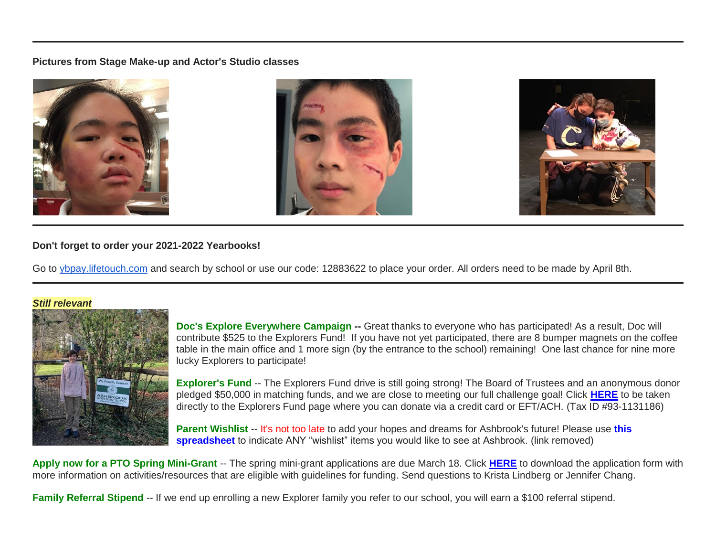#### **Pictures from Stage Make-up and Actor's Studio classes**



#### **Don't forget to order your 2021-2022 Yearbooks!**

Go to [ybpay.lifetouch.com](http://link.mystudentsprogress.com/ls/click?upn=n7jYKe39nC4PrVAw2BzaOolgU5XUleaJ61qfvNJxTW3RsoduBkSm-2FnTJYVlYqPt6RvWTU8useHK6X6zlFg-2Ft96TFIX-2BrRcLxuiSxAKc3STU-3DnCSS_1PndbFfBoQGSZbxwXHHEexw3B2F0fG-2BUmuXm6a-2BX-2BzvEP6uN6HuivDfq6Rfq-2FMUBN0VD3TCW6EtWrSJWwB4aHQSUlbTC-2FM2hc7Y8BQk12bsZTEj7ixaNLsrzvBOrzDc4KNYa2x6damUM8uPO4Jn9e-2FBosw8mx4IA7UlzWmgf-2FDlb3g4xZVcL2zo9mZISVRmQhiyHdpEpkdBn5s00iHAcRbnA8haK68HkKygPvT39R5Vf7k3qDKBXDR-2Fh-2Bkw6fVJUF1wTu42qjxJz5QGFO60IxxHEgQODWb2eYO8Krpzg-2F7B-2B-2B08J4NcKSa1l-2FULmYTzC5l03BXlD0XSd6hmG94e2ROvPzX-2BnDYlgdm48hduxU-2BBhWQ6ZrsaV11yDUUx9eVE2qRtjIWtdIx8XwL6YDTcVSJwpPeBhPvyJUCNbRonI49BY1jiFeHlnUAIe2ZHKGyFy) and search by school or use our code: 12883622 to place your order. All orders need to be made by April 8th.

#### *Still relevant*



**Doc's Explore Everywhere Campaign --** Great thanks to everyone who has participated! As a result, Doc will contribute \$525 to the Explorers Fund! If you have not yet participated, there are 8 bumper magnets on the coffee table in the main office and 1 more sign (by the entrance to the school) remaining! One last chance for nine more lucky Explorers to participate!

**Explorer's Fund** -- The Explorers Fund drive is still going strong! The Board of Trustees and an anonymous donor pledged \$50,000 in matching funds, and we are close to meeting our full challenge goal! Click **[HERE](http://link.mystudentsprogress.com/ls/click?upn=5XDbAd9r0ovG7GZusFBG8PaUF78UqItDelTGdwk7Y5YuTzHCPAjU3puEFCesf3czmLI6pjYvXrYopLnNSPnw-2Fg-3D-3DLC-L_1PndbFfBoQGSZbxwXHHEexw3B2F0fG-2BUmuXm6a-2BX-2BzvEP6uN6HuivDfq6Rfq-2FMUBN0VD3TCW6EtWrSJWwB4aHYctj83MpDkGxz1tbAps81dWLzNxAsRPJ4RKQ-2FxblBFH8WFQJCdVo9TlkkGF8KjLCbouSWFG3nBluaB7P1gAJCY2xf4l4gGUcRaq0YhdgOuOM7PwQ6k7cQcqh7XvdBJbPkyXp2FPjiglhdKXhHlB-2F4UKmsVvn-2F-2B1184N63lAtveUSdE2Ea4P8894mFYyJVGP9MuKjdz655k7LZz9yRAMQOIToHMq17uex0NF-2FUxqpPatuqf2uiuyMauy6gC1NlqAgovdfECdYGUqKvkpE4n-2FXfEGqupv8RN5bJQwOqif9iHTCgcEZPhR0vtS65L9C-2FfK9UfmA0ADH-2F4qwMQerOKs3PX3G2MkmosVW6ZaTSRINJPD)** to be taken directly to the Explorers Fund page where you can donate via a credit card or EFT/ACH. (Tax ID #93-1131186)

**Parent Wishlist** -- It's not too late to add your hopes and dreams for Ashbrook's future! Please use **this spreadsheet** to indicate ANY "wishlist" items you would like to see at Ashbrook. (link removed)

**Apply now for a PTO Spring Mini-Grant** -- The spring mini-grant applications are due March 18. Click **[HERE](http://link.mystudentsprogress.com/ls/click?upn=n7jYKe39nC4PrVAw2BzaOolgU5XUleaJ61qfvNJxTW3uoi8RFzNYUfSc1qXdqajA34djZWrxIBJBxzp2whbybvqIYp3dDOkCDgKesziBdClenDsTc-2FUGtZuJNxIh5RAijA4c-2FxLDZKxjmas3d9mUCg2OGUEiTYCsalquiRQy9vw-3DfsEn_1PndbFfBoQGSZbxwXHHEexw3B2F0fG-2BUmuXm6a-2BX-2BzvEP6uN6HuivDfq6Rfq-2FMUBN0VD3TCW6EtWrSJWwB4aHQxtsAgMKUj7NQH421-2BqKnGbu6r4e7NSaQjBdZBvIu3djfx8wgQ54oPlW6dicmMy53s0AcjFvgKxlXavXXGMfNaR71le5GgyNtaTJy18yGvREfKt6sbZFTJ1osNyjN9TLaxfeTL5Yt-2FPik-2B3IENtHPlHrwsz81xqUF9eKNz4odOknBIFDI2jr8-2FoY5d7z7YPLCgfiVTKRZGNynyymZfnzueW1gC8Ydyi6-2FSqMZwi-2FBG5CBc1xLI-2FYGyoQ0guM-2F7pj5lAuSZ4y7nlCES9dxAMZmcGEywVf6uERddrzKNT0yX4RzjQFwe2Qz92NfjVYJapGlzoCwB-2BRmi1fhmc2jTWt5xwkpTkMYE0DQgrMfnVqsm-2F)** to download the application form with more information on activities/resources that are eligible with guidelines for funding. Send questions to Krista Lindberg or Jennifer Chang.

**Family Referral Stipend** -- If we end up enrolling a new Explorer family you refer to our school, you will earn a \$100 referral stipend.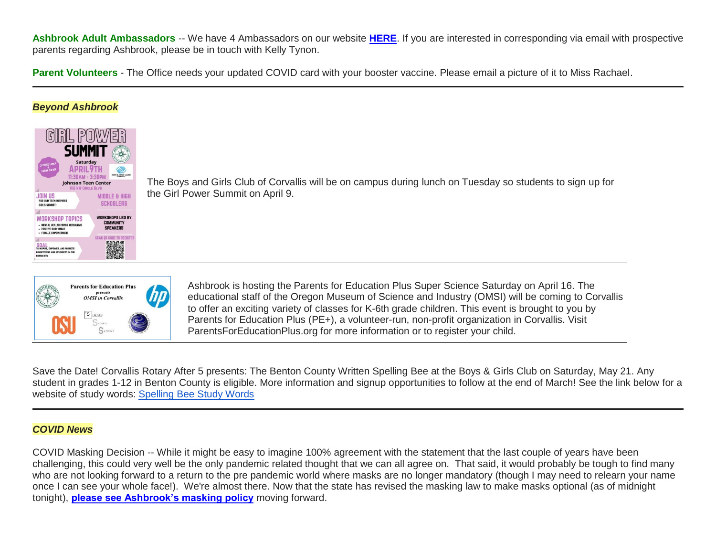**Ashbrook Adult Ambassadors** -- We have 4 Ambassadors on our website **[HERE](http://link.mystudentsprogress.com/ls/click?upn=5XDbAd9r0ovG7GZusFBG8PaUF78UqItDelTGdwk7Y5avyNmvH-2F-2BAj2asxP-2B-2BAJiKXbDbngZWh42DNvOHgc5oAw-3D-3D--zZ_1PndbFfBoQGSZbxwXHHEexw3B2F0fG-2BUmuXm6a-2BX-2BzvEP6uN6HuivDfq6Rfq-2FMUBN0VD3TCW6EtWrSJWwB4aHYDFO51u4YLLZmFxmd7XykdXK65HceiHbIM5v1HbqzhquobplCNutrdGIYtPDpGBkJvgUhlBLMbJKT6fMBaPZKKrNPaPbWa3J6kmeVJQhzOuu1Nul48eLrs5GGg6-2BpkZzxa6Tcs8zOveZC3EcfM3HVo-2BswlMoBf0rRM704nmpkw7M6XtQueSSWOeo-2BL5D0SUYGGlE-2BiC-2FDWicptnyKhm3RwOtxOlfRVxgO00p-2FA2Z3NuzWANYdqOu7EpkHupwLzVYT3Q7eP8XLIAFxHvqHzQGxNgjkI6mH9MymXVTJzRYtcPPthjqqfcxmM9O0LAajpzIzyZLJocZXNWYwvzOHA4OHifF7kdj3NtCTmGhV0jzTwJ)**. If you are interested in corresponding via email with prospective parents regarding Ashbrook, please be in touch with Kelly Tynon.

**Parent Volunteers** - The Office needs your updated COVID card with your booster vaccine. Please email a picture of it to Miss Rachael.

#### *Beyond Ashbrook*



The Boys and Girls Club of Corvallis will be on campus during lunch on Tuesday so students to sign up for the Girl Power Summit on April 9.



Ashbrook is hosting the Parents for Education Plus Super Science Saturday on April 16. The educational staff of the Oregon Museum of Science and Industry (OMSI) will be coming to Corvallis to offer an exciting variety of classes for K-6th grade children. This event is brought to you by Parents for Education Plus (PE+), a volunteer-run, non-profit organization in Corvallis. Visit ParentsForEducationPlus.org for more information or to register your child.

Save the Date! Corvallis Rotary After 5 presents: The Benton County Written Spelling Bee at the Boys & Girls Club on Saturday, May 21. Any student in grades 1-12 in Benton County is eligible. More information and signup opportunities to follow at the end of March! See the link below for a website of study words: [Spelling Bee Study Words](http://link.mystudentsprogress.com/ls/click?upn=n7jYKe39nC4PrVAw2BzaOolgU5XUleaJ61qfvNJxTW2DnK0kwu-2FlViFNafmMixoQkaXAcOue78empEFdaKiiPzozwPX-2BBxIuMERm9A2QZrFE-2BP42HI-2F9r-2FvPPzecCB5SxO1o_1PndbFfBoQGSZbxwXHHEexw3B2F0fG-2BUmuXm6a-2BX-2BzvEP6uN6HuivDfq6Rfq-2FMUBN0VD3TCW6EtWrSJWwB4aHUf8rKDoo4ol5qJrMG8D-2FM6Ctwi2Zq-2BQF9a-2BmjvrwT6r9yfUAMoWLU4stkZBBCG3BXtdhohYzaMkfc4-2BQ3GkhlKS0YQSAR8V-2FTKghYmMbsFNUCpwJAdkoPPeVyk3bX1D5BBBbQ-2BelHxwZDeIrlV-2BC8ygy8L6XWfT4E7g1V8-2FBN7-2FE8nGhAzJu9C1cwjmb0g5baMgxQ9HRRZ-2BINo8HnjFPaBfmOhbEJk3-2BwtSmTAqUDJ9uaTbNDsvmaoJ4pHA8oa1xzz9BIPdH1BU975VWsL46untvorHsERfGA9GR567eojyZ978HlIag0ljqC-2BTrPiVdMXPfeuF8SDAQf04c1-2BdSBR3HWn11zWYfiWuxkNucPUk)

#### *COVID News*

COVID Masking Decision -- While it might be easy to imagine 100% agreement with the statement that the last couple of years have been challenging, this could very well be the only pandemic related thought that we can all agree on. That said, it would probably be tough to find many who are not looking forward to a return to the pre pandemic world where masks are no longer mandatory (though I may need to relearn your name once I can see your whole face!). We're almost there. Now that the state has revised the masking law to make masks optional (as of midnight tonight), **[please see Ashbrook's masking policy](http://link.mystudentsprogress.com/ls/click?upn=VpBe6Z9t6RkEC4qAoQCerkRqVNRJCi4SE2bZPjoSvlwMA-2FJb89gDn59Zo1y-2FN3t9N76UV9tvKcT9l5tOXtQivMaJJZBetf3l-2FiPBFNwKWpUMQx6bUMKgSjVRv-2BCtLsYRdiAgh0UP2K5IBL6ighVlSw-3D-3DAjJr_1PndbFfBoQGSZbxwXHHEexw3B2F0fG-2BUmuXm6a-2BX-2BzvEP6uN6HuivDfq6Rfq-2FMUBN0VD3TCW6EtWrSJWwB4aHUvCUWjmu5eTCNUYU5hF2aZ9Ab8f2P3C97c1Y0dUcqHfl6hSjo76O6by-2Bn3kOlHABMuuCHwTRn8lWP4Y6rWccaJft9htD-2BXB4RxbCa8WzZQ8ALfZNfGSD42TlmY63anFn94lANPBMjz17lBuKH-2B8cnJT0b9o3StS1g09-2BxgSnFWVe6GWgAdy-2FGLoBccL9RexiTt0uLXNRN3kMqxJBlW7Q9-2FAsSBGcpt-2FO8UPlYLnsXqBvp5rIZyEpp3lyJ7d2xfSazzYpoxxYKgQPov7mWSAldXGqAVnH2geIMslTtvLFnsad8nvGVNC9MBRE3kiLPwyAeci0zmR3N32mZXmMm5ONoVT8WddO74-2BFwP07ugrnJLg)** moving forward.